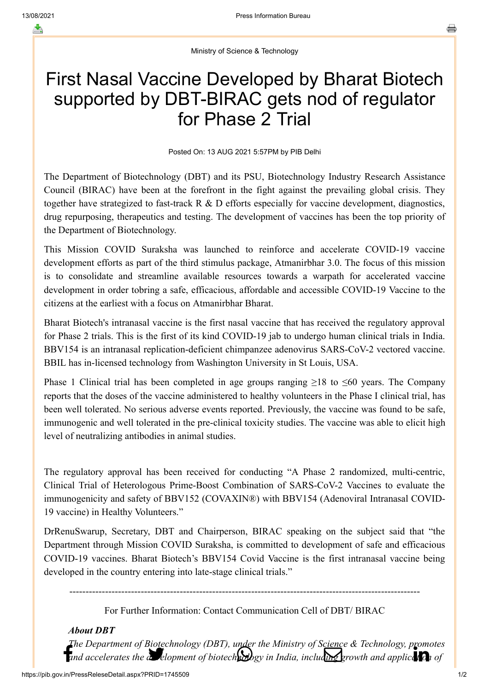Ministry of Science & Technology

## First Nasal Vaccine Developed by Bharat Biotech supported by DBT-BIRAC gets nod of regulator for Phase 2 Trial

Posted On: 13 AUG 2021 5:57PM by PIB Delhi

The Department of Biotechnology (DBT) and its PSU, Biotechnology Industry Research Assistance Council (BIRAC) have been at the forefront in the fight against the prevailing global crisis. They together have strategized to fast-track R & D efforts especially for vaccine development, diagnostics, drug repurposing, therapeutics and testing. The development of vaccines has been the top priority of the Department of Biotechnology.

This Mission COVID Suraksha was launched to reinforce and accelerate COVID-19 vaccine development efforts as part of the third stimulus package, Atmanirbhar 3.0. The focus of this mission is to consolidate and streamline available resources towards a warpath for accelerated vaccine development in order tobring a safe, efficacious, affordable and accessible COVID-19 Vaccine to the citizens at the earliest with a focus on Atmanirbhar Bharat.

Bharat Biotech's intranasal vaccine is the first nasal vaccine that has received the regulatory approval for Phase 2 trials. This is the first of its kind COVID-19 jab to undergo human clinical trials in India. BBV154 is an intranasal replication-deficient chimpanzee adenovirus SARS-CoV-2 vectored vaccine. BBIL has in-licensed technology from Washington University in St Louis, USA.

Phase 1 Clinical trial has been completed in age groups ranging  $\geq 18$  to  $\leq 60$  years. The Company reports that the doses of the vaccine administered to healthy volunteers in the Phase I clinical trial, has been well tolerated. No serious adverse events reported. Previously, the vaccine was found to be safe, immunogenic and well tolerated in the pre-clinical toxicity studies. The vaccine was able to elicit high level of neutralizing antibodies in animal studies.

The regulatory approval has been received for conducting "A Phase 2 randomized, multi-centric, Clinical Trial of Heterologous Prime-Boost Combination of SARS-CoV-2 Vaccines to evaluate the immunogenicity and safety of BBV152 (COVAXIN®) with BBV154 (Adenoviral Intranasal COVID-19 vaccine) in Healthy Volunteers."

DrRenuSwarup, Secretary, DBT and Chairperson, BIRAC speaking on the subject said that "the Department through Mission COVID Suraksha, is committed to development of safe and efficacious COVID-19 vaccines. Bharat Biotech's BBV154 Covid Vaccine is the first intranasal vaccine being developed in the country entering into late-stage clinical trials."

------------------------------------------------------------------------------------------------------------

For Further Information: Contact Communication Cell of DBT/ BIRAC

*About DBT*

[The Depart](http://www.facebook.com/share.php?u=https://pib.gov.in/PressReleasePage.aspx?PRID=1745509)[ment of Biotechnology](https://twitter.com/intent/tweet?url=https://pib.gov.in/PressReleasePage.aspx?PRID=1745509&text=First%20Nasal%20Vaccine%20Developed%20by%20Bharat%20Biotech%20supported%20by%20DBT-BIRAC%20gets%20nod%20of%20regulator%20for%20Phase%202%20Trial) [\(DBT\), under the Min](https://api.whatsapp.com/send?text=https://pib.gov.in/PressReleasePage.aspx?PRID=1745509)[istry of Science & Tech](https://mail.google.com/mail/?view=cm&fs=1&tf=1&to=&su=First%20Nasal%20Vaccine%20Developed%20by%20Bharat%20Biotech%20supported%20by%20DBT-BIRAC%20gets%20nod%20of%20regulator%20for%20Phase%202%20Trial&body=https://pib.gov.in/PressReleasePage.aspx?PRID=1745509&ui=2&tf=1&pli=1)[nology, promotes](https://www.linkedin.com/shareArticle?mini=true&url=https://pib.gov.in/PressReleasePage.aspx?PRID=1745509&title=First%20Nasal%20Vaccine%20Developed%20by%20Bharat%20Biotech%20supported%20by%20DBT-BIRAC%20gets%20nod%20of%20regulator%20for%20Phase%202%20Trial&summary=My%20favorite%20developer%20program&source=LinkedIn)<br>and accelerates the analogy elopment of biotechnology in India, including growth and application of